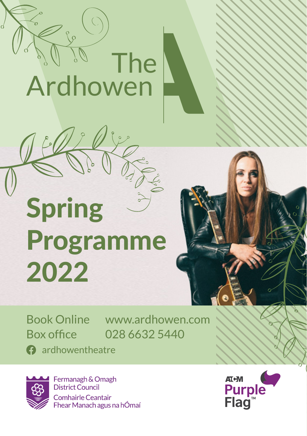

# Spring Programme 2022

Book Online www.ardhowen.com Box office 028 6632 5440

**a** ardhowentheatre



Fermanagh & Omagh District Council Comhairle Ceantair Fhear Manach agus na hÓmaí

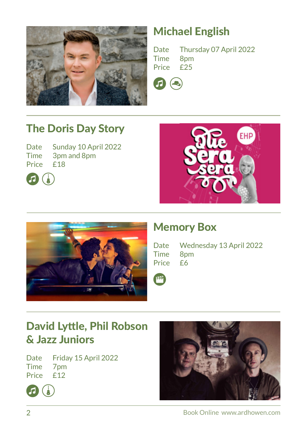

#### Michael English

Date Thursday 07 April 2022<br>Time 8pm Time 8pm<br>Price £25 Price



#### The Doris Day Story

Date Sunday 10 April 2022 Time 3pm and 8pm Price £18







#### Memory Box

|          | Date Wednesday 13 April 2022 |
|----------|------------------------------|
| Time 8pm |                              |
| Price £6 |                              |



#### David Lyttle, Phil Robson & Jazz Juniors

Date Friday 15 April 2022 Time 7pm Price  $f12$ 



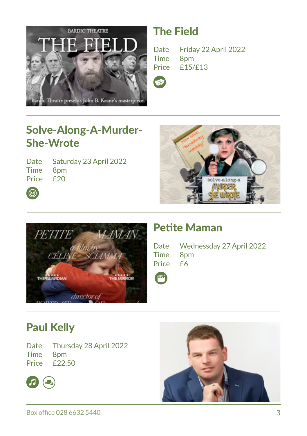

#### The Field

Date Friday 22 April 2022 Time 8pm<br>Price £15/  $f15/f13$ 

#### Solve-Along-A-Murder-She-Wrote

Date Saturday 23 April 2022 Time 8pm Price £20





#### Petite Maman

|          | Date Wednessday 27 April 2022 |
|----------|-------------------------------|
| Time 8pm |                               |
| Price £6 |                               |

#### Paul Kelly

 $\bigcirc$ 

Date Thursday 28 April 2022 Time 8pm Price £22.50



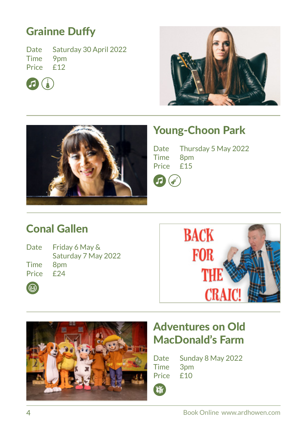#### Grainne Duffy

Date Saturday 30 April 2022 Time 9pm<br>Price £12 Price







#### Young-Choon Park

Date Thursday 5 May 2022<br>Time 8pm  $8pm$ <br> $f15$ **Price** 



#### Conal Gallen

| Date | Fr |
|------|----|
|      | Sa |
| Time | 8  |

 $\odot$ 

riday 6 May & aturday 7 May 2022  $nm$ Price £24





#### Adventures on Old MacDonald's Farm

Date Sunday 8 May 2022 Time 3pm Price £10

**LEW**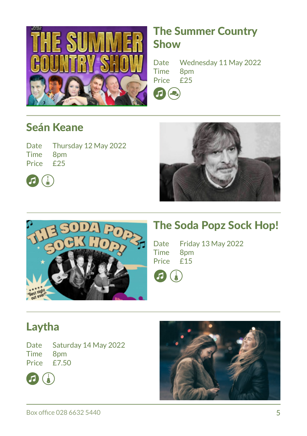

#### The Summer Country Show

Date Wednesday 11 May 2022 Time 8pm<br>Price £25 Price n Q

#### Seán Keane

|           | Date Thursday 12 May 2022 |
|-----------|---------------------------|
| Time 8pm  |                           |
| Price £25 |                           |







#### The Soda Popz Sock Hop!

Date Friday 13 May 2022<br>Time 8pm 8pm<br>f15 Price



#### Laytha

Date Saturday 14 May 2022 Time 8pm Price  $\overrightarrow{F}$  50



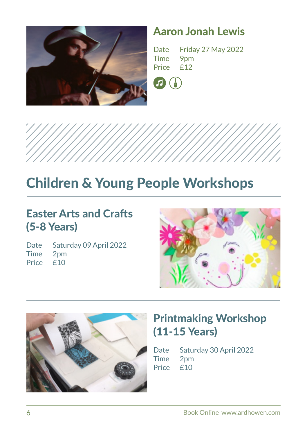

#### Aaron Jonah Lewis

Date Friday 27 May 2022<br>Time 9pm Time 9pm<br>Price £12 Price **122** 





## Children & Young People Workshops

#### Easter Arts and Crafts (5-8 Years)

Date Saturday 09 April 2022 Time 2pm Price £10





#### Printmaking Workshop (11-15 Years)

Date Saturday 30 April 2022 Time 2pm Price £10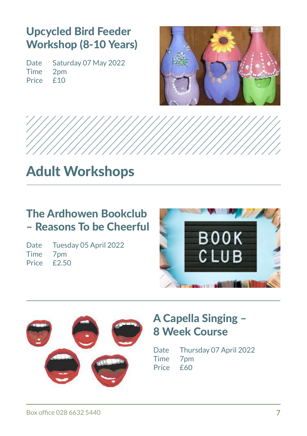#### Upcycled Bird Feeder Workshop (8-10 Years)

Date Saturday 07 May 2022<br>Time 2nm  $2pm$ <br> $f10$  $Price<sub>1</sub>$ 





## Adult Workshops

#### The Ardhowen Bookclub – Reasons To be Cheerful

|          | Date Tuesday 05 April 2022 |
|----------|----------------------------|
| Time 7pm |                            |
|          | Price £2.50                |





#### A Capella Singing – 8 Week Course

Date Thursday 07 April 2022 Time 7pm Price £60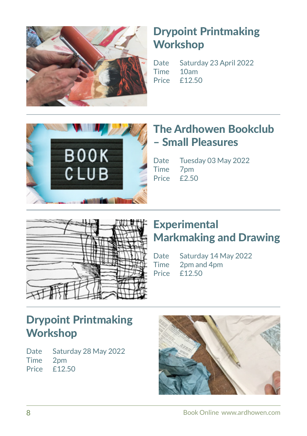

#### Drypoint Printmaking **Workshop**

Date Saturday 23 April 2022 Time 10am Price £12.50



#### The Ardhowen Bookclub – Small Pleasures

Date Tuesday 03 May 2022 Time 7pm<br>Price £2.50 Price



#### **Experimental** Markmaking and Drawing

Date Saturday 14 May 2022 Time 2pm and 4pm Price £12.50

#### Drypoint Printmaking **Workshop**

Date Saturday 28 May 2022 Time 2pm Price £12.50